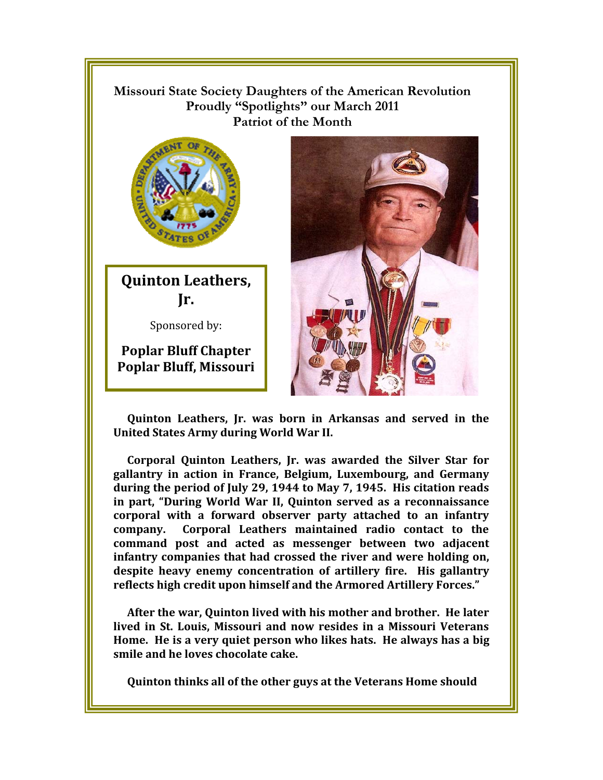## !!!!!!!!! **Missouri State Society Daughters of the American Revolution Proudly "Spotlights" our March 2011 Patriot of the Month**



**Quinton Leathers, Jr.** 

Sponsored by:

**Poplar Bluff Chapter Poplar Bluff, Missouri** 



**Quinton Leathers, Jr. was born in Arkansas and served in the United States Army during World War II.** 

**Corporal Quinton Leathers, Jr. was awarded the Silver Star for gallantry in action in France, Belgium, Luxembourg, and Germany during the period of July 29, 1944 to May 7, 1945. His citation reads in part, "During World War II, Quinton served as a reconnaissance corporal with a forward observer party attached to an infantry company. Corporal Leathers maintained radio contact to the command post and acted as messenger between two adjacent infantry companies that had crossed the river and were holding on, despite heavy enemy concentration of artillery fire. His gallantry reflects high credit upon himself and the Armored Artillery Forces."** 

**After the war, Quinton lived with his mother and brother. He later lived in St. Louis, Missouri and now resides in a Missouri Veterans Home. He is a very quiet person who likes hats. He always has a big smile and he loves chocolate cake.** 

**Quinton thinks all of the other guys at the Veterans Home should**